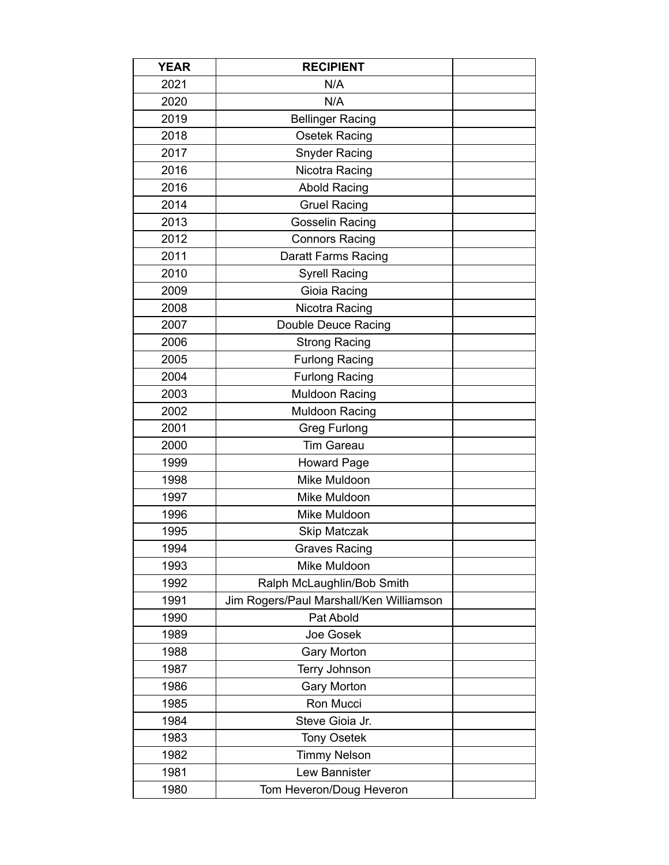| <b>YEAR</b> | <b>RECIPIENT</b>                        |  |
|-------------|-----------------------------------------|--|
| 2021        | N/A                                     |  |
| 2020        | N/A                                     |  |
| 2019        | <b>Bellinger Racing</b>                 |  |
| 2018        | Osetek Racing                           |  |
| 2017        | <b>Snyder Racing</b>                    |  |
| 2016        | Nicotra Racing                          |  |
| 2016        | <b>Abold Racing</b>                     |  |
| 2014        | <b>Gruel Racing</b>                     |  |
| 2013        | <b>Gosselin Racing</b>                  |  |
| 2012        | <b>Connors Racing</b>                   |  |
| 2011        | <b>Daratt Farms Racing</b>              |  |
| 2010        | <b>Syrell Racing</b>                    |  |
| 2009        | Gioia Racing                            |  |
| 2008        | Nicotra Racing                          |  |
| 2007        | Double Deuce Racing                     |  |
| 2006        | <b>Strong Racing</b>                    |  |
| 2005        | <b>Furlong Racing</b>                   |  |
| 2004        | <b>Furlong Racing</b>                   |  |
| 2003        | <b>Muldoon Racing</b>                   |  |
| 2002        | <b>Muldoon Racing</b>                   |  |
| 2001        | <b>Greg Furlong</b>                     |  |
| 2000        | <b>Tim Gareau</b>                       |  |
| 1999        | <b>Howard Page</b>                      |  |
| 1998        | Mike Muldoon                            |  |
| 1997        | Mike Muldoon                            |  |
| 1996        | Mike Muldoon                            |  |
| 1995        | Skip Matczak                            |  |
| 1994        | <b>Graves Racing</b>                    |  |
| 1993        | Mike Muldoon                            |  |
| 1992        | Ralph McLaughlin/Bob Smith              |  |
| 1991        | Jim Rogers/Paul Marshall/Ken Williamson |  |
| 1990        | Pat Abold                               |  |
| 1989        | Joe Gosek                               |  |
| 1988        | <b>Gary Morton</b>                      |  |
| 1987        | Terry Johnson                           |  |
| 1986        | <b>Gary Morton</b>                      |  |
| 1985        | Ron Mucci                               |  |
| 1984        | Steve Gioia Jr.                         |  |
| 1983        | <b>Tony Osetek</b>                      |  |
| 1982        | <b>Timmy Nelson</b>                     |  |
| 1981        | Lew Bannister                           |  |
| 1980        | Tom Heveron/Doug Heveron                |  |